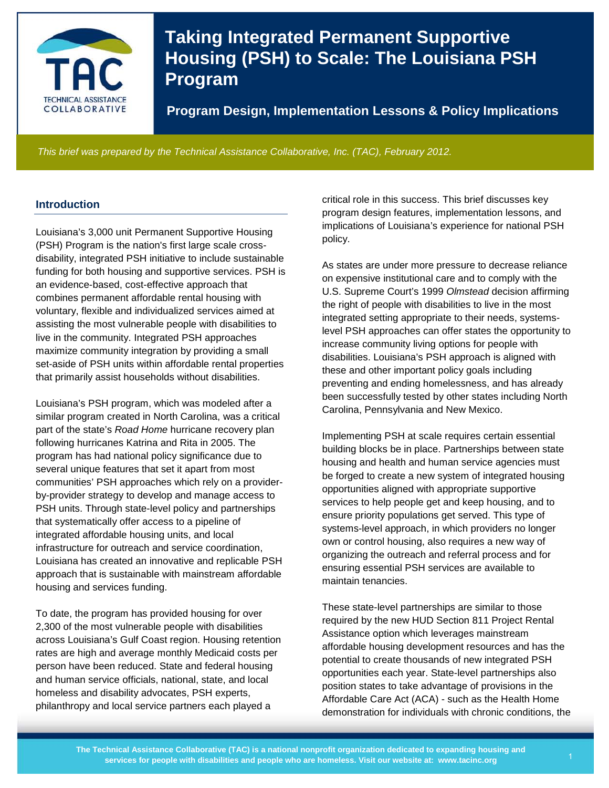

# **Taking Integrated Permanent Supportive Housing (PSH) to Scale: The Louisiana PSH Program**

**Program Design, Implementation Lessons & Policy Implications**

*This brief was prepared by the Technical Assistance Collaborative, Inc. (TAC), February 2012.* 

## **Introduction**

Louisiana's 3,000 unit Permanent Supportive Housing (PSH) Program is the nation's first large scale crossdisability, integrated PSH initiative to include sustainable funding for both housing and supportive services. PSH is an evidence-based, cost-effective approach that combines permanent affordable rental housing with voluntary, flexible and individualized services aimed at assisting the most vulnerable people with disabilities to live in the community. Integrated PSH approaches maximize community integration by providing a small set-aside of PSH units within affordable rental properties that primarily assist households without disabilities.

Louisiana's PSH program, which was modeled after a similar program created in North Carolina, was a critical part of the state's *Road Home* hurricane recovery plan following hurricanes Katrina and Rita in 2005. The program has had national policy significance due to several unique features that set it apart from most communities' PSH approaches which rely on a providerby-provider strategy to develop and manage access to PSH units. Through state-level policy and partnerships that systematically offer access to a pipeline of integrated affordable housing units, and local infrastructure for outreach and service coordination, Louisiana has created an innovative and replicable PSH approach that is sustainable with mainstream affordable housing and services funding.

To date, the program has provided housing for over 2,300 of the most vulnerable people with disabilities across Louisiana's Gulf Coast region. Housing retention rates are high and average monthly Medicaid costs per person have been reduced. State and federal housing and human service officials, national, state, and local homeless and disability advocates, PSH experts, philanthropy and local service partners each played a

critical role in this success. This brief discusses key program design features, implementation lessons, and implications of Louisiana's experience for national PSH policy.

As states are under more pressure to decrease reliance on expensive institutional care and to comply with the U.S. Supreme Court's 1999 *Olmstead* decision affirming the right of people with disabilities to live in the most integrated setting appropriate to their needs, systemslevel PSH approaches can offer states the opportunity to increase community living options for people with disabilities. Louisiana's PSH approach is aligned with these and other important policy goals including preventing and ending homelessness, and has already been successfully tested by other states including North Carolina, Pennsylvania and New Mexico.

Implementing PSH at scale requires certain essential building blocks be in place. Partnerships between state housing and health and human service agencies must be forged to create a new system of integrated housing opportunities aligned with appropriate supportive services to help people get and keep housing, and to ensure priority populations get served. This type of systems-level approach, in which providers no longer own or control housing, also requires a new way of organizing the outreach and referral process and for ensuring essential PSH services are available to maintain tenancies.

These state-level partnerships are similar to those required by the new HUD Section 811 Project Rental Assistance option which leverages mainstream affordable housing development resources and has the potential to create thousands of new integrated PSH opportunities each year. State-level partnerships also position states to take advantage of provisions in the [Affordable Care Act](http://www.healthcare.gov/) (ACA) - such as the Health Home demonstration for individuals with chronic conditions, the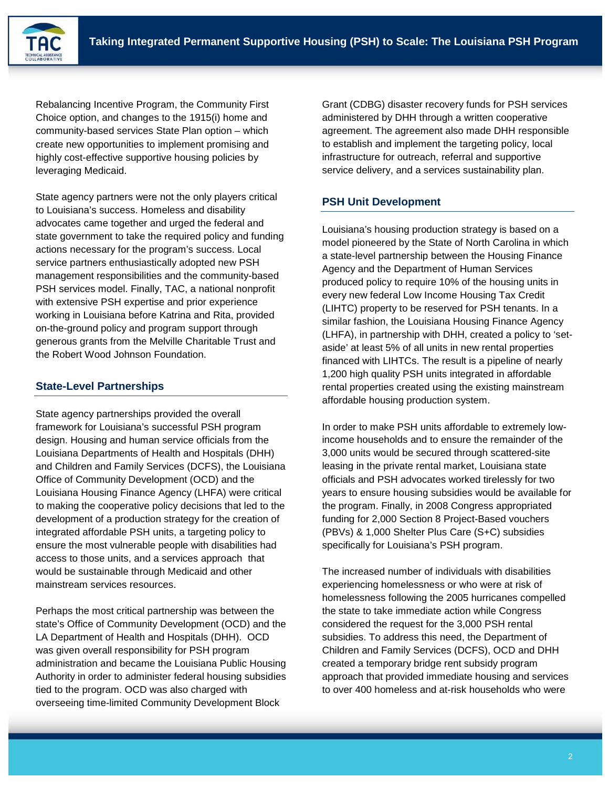

Rebalancing Incentive Program, the Community First Choice option, and changes to the 1915(i) home and community-based services State Plan option – which create new opportunities to implement promising and highly cost-effective supportive housing policies by leveraging Medicaid.

State agency partners were not the only players critical to Louisiana's success. Homeless and disability advocates came together and urged the federal and state government to take the required policy and funding actions necessary for the program's success. Local service partners enthusiastically adopted new PSH management responsibilities and the community-based PSH services model. Finally, TAC, a national nonprofit with extensive PSH expertise and prior experience working in Louisiana before Katrina and Rita, provided on-the-ground policy and program support through generous grants from the Melville Charitable Trust and the Robert Wood Johnson Foundation.

## **State-Level Partnerships**

State agency partnerships provided the overall framework for Louisiana's successful PSH program design. Housing and human service officials from the Louisiana Departments of Health and Hospitals (DHH) and Children and Family Services (DCFS), the Louisiana Office of Community Development (OCD) and the Louisiana Housing Finance Agency (LHFA) were critical to making the cooperative policy decisions that led to the development of a production strategy for the creation of integrated affordable PSH units, a targeting policy to ensure the most vulnerable people with disabilities had access to those units, and a services approach that would be sustainable through Medicaid and other mainstream services resources.

Perhaps the most critical partnership was between the state's Office of Community Development (OCD) and the LA Department of Health and Hospitals (DHH). OCD was given overall responsibility for PSH program administration and became the Louisiana Public Housing Authority in order to administer federal housing subsidies tied to the program. OCD was also charged with overseeing time-limited Community Development Block

Grant (CDBG) disaster recovery funds for PSH services administered by DHH through a written cooperative agreement. The agreement also made DHH responsible to establish and implement the targeting policy, local infrastructure for outreach, referral and supportive service delivery, and a services sustainability plan.

## **PSH Unit Development**

Louisiana's housing production strategy is based on a model pioneered by the State of North Carolina in which a state-level partnership between the Housing Finance Agency and the Department of Human Services produced policy to require 10% of the housing units in every new federal Low Income Housing Tax Credit (LIHTC) property to be reserved for PSH tenants. In a similar fashion, the Louisiana Housing Finance Agency (LHFA), in partnership with DHH, created a policy to 'setaside' at least 5% of all units in new rental properties financed with LIHTCs. The result is a pipeline of nearly 1,200 high quality PSH units integrated in affordable rental properties created using the existing mainstream affordable housing production system.

In order to make PSH units affordable to extremely lowincome households and to ensure the remainder of the 3,000 units would be secured through scattered-site leasing in the private rental market, Louisiana state officials and PSH advocates worked tirelessly for two years to ensure housing subsidies would be available for the program. Finally, in 2008 Congress appropriated funding for 2,000 Section 8 Project-Based vouchers (PBVs) & 1,000 Shelter Plus Care (S+C) subsidies specifically for Louisiana's PSH program.

The increased number of individuals with disabilities experiencing homelessness or who were at risk of homelessness following the 2005 hurricanes compelled the state to take immediate action while Congress considered the request for the 3,000 PSH rental subsidies. To address this need, the Department of Children and Family Services (DCFS), OCD and DHH created a temporary bridge rent subsidy program approach that provided immediate housing and services to over 400 homeless and at-risk households who were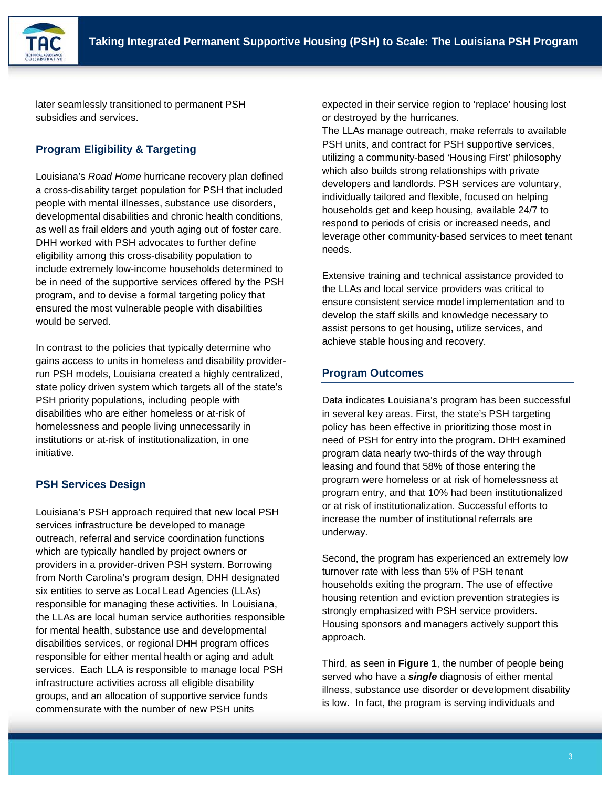

later seamlessly transitioned to permanent PSH subsidies and services.

# **Program Eligibility & Targeting**

Louisiana's *Road Home* hurricane recovery plan defined a cross-disability target population for PSH that included people with mental illnesses, substance use disorders, developmental disabilities and chronic health conditions, as well as frail elders and youth aging out of foster care. DHH worked with PSH advocates to further define eligibility among this cross-disability population to include extremely low-income households determined to be in need of the supportive services offered by the PSH program, and to devise a formal targeting policy that ensured the most vulnerable people with disabilities would be served.

In contrast to the policies that typically determine who gains access to units in homeless and disability providerrun PSH models, Louisiana created a highly centralized, state policy driven system which targets all of the state's PSH priority populations, including people with disabilities who are either homeless or at-risk of homelessness and people living unnecessarily in institutions or at-risk of institutionalization, in one initiative.

# **PSH Services Design**

Louisiana's PSH approach required that new local PSH services infrastructure be developed to manage outreach, referral and service coordination functions which are typically handled by project owners or providers in a provider-driven PSH system. Borrowing from North Carolina's program design, DHH designated six entities to serve as Local Lead Agencies (LLAs) responsible for managing these activities. In Louisiana, the LLAs are local human service authorities responsible for mental health, substance use and developmental disabilities services, or regional DHH program offices responsible for either mental health or aging and adult services. Each LLA is responsible to manage local PSH infrastructure activities across all eligible disability groups, and an allocation of supportive service funds commensurate with the number of new PSH units

expected in their service region to 'replace' housing lost or destroyed by the hurricanes.

The LLAs manage outreach, make referrals to available PSH units, and contract for PSH supportive services, utilizing a community-based 'Housing First' philosophy which also builds strong relationships with private developers and landlords. PSH services are voluntary, individually tailored and flexible, focused on helping households get and keep housing, available 24/7 to respond to periods of crisis or increased needs, and leverage other community-based services to meet tenant needs.

Extensive training and technical assistance provided to the LLAs and local service providers was critical to ensure consistent service model implementation and to develop the staff skills and knowledge necessary to assist persons to get housing, utilize services, and achieve stable housing and recovery.

## **Program Outcomes**

Data indicates Louisiana's program has been successful in several key areas. First, the state's PSH targeting policy has been effective in prioritizing those most in need of PSH for entry into the program. DHH examined program data nearly two-thirds of the way through leasing and found that 58% of those entering the program were homeless or at risk of homelessness at program entry, and that 10% had been institutionalized or at risk of institutionalization. Successful efforts to increase the number of institutional referrals are underway.

Second, the program has experienced an extremely low turnover rate with less than 5% of PSH tenant households exiting the program. The use of effective housing retention and eviction prevention strategies is strongly emphasized with PSH service providers. Housing sponsors and managers actively support this approach.

Third, as seen in **Figure 1**, the number of people being served who have a *single* diagnosis of either mental illness, substance use disorder or development disability is low. In fact, the program is serving individuals and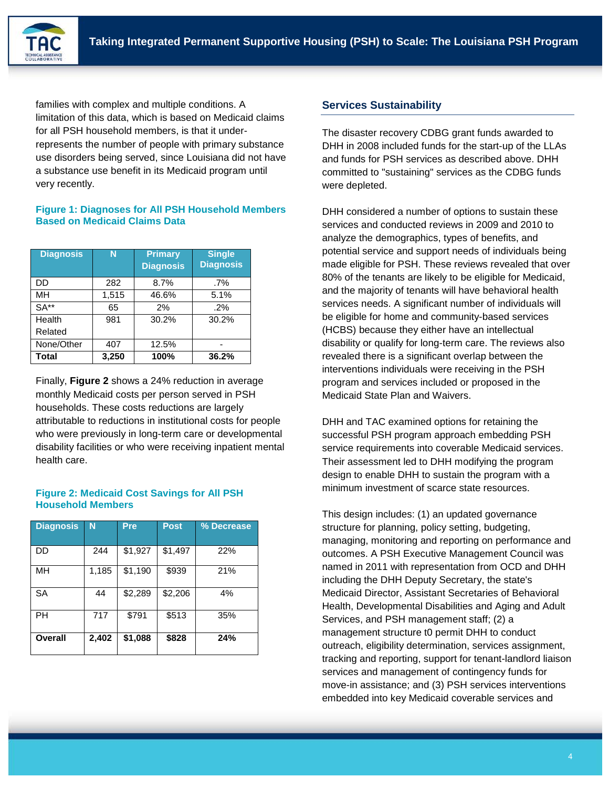families with complex and multiple conditions. A limitation of this data, which is based on Medicaid claims for all PSH household members, is that it underrepresents the number of people with primary substance use disorders being served, since Louisiana did not have a substance use benefit in its Medicaid program until very recently.

#### **Figure 1: Diagnoses for All PSH Household Members Based on Medicaid Claims Data**

| <b>Diagnosis</b> | N     | <b>Primary</b><br><b>Diagnosis</b> | <b>Single</b><br><b>Diagnosis</b> |
|------------------|-------|------------------------------------|-----------------------------------|
| DD               | 282   | 8.7%                               | .7%                               |
| MН               | 1,515 | 46.6%                              | 5.1%                              |
| $SA**$           | 65    | 2%                                 | $.2\%$                            |
| Health           | 981   | 30.2%                              | 30.2%                             |
| Related          |       |                                    |                                   |
| None/Other       | 407   | 12.5%                              |                                   |
| <b>Total</b>     | 3,250 | 100%                               | 36.2%                             |

Finally, **Figure 2** shows a 24% reduction in average monthly Medicaid costs per person served in PSH households. These costs reductions are largely attributable to reductions in institutional costs for people who were previously in long-term care or developmental disability facilities or who were receiving inpatient mental health care.

#### **Figure 2: Medicaid Cost Savings for All PSH Household Members**

| <b>Diagnosis</b> | N     | <b>Pre</b> | <b>Post</b> | % Decrease |
|------------------|-------|------------|-------------|------------|
| DD               | 244   | \$1,927    | \$1,497     | 22%        |
| MH               | 1,185 | \$1,190    | \$939       | 21%        |
| <b>SA</b>        | 44    | \$2,289    | \$2,206     | 4%         |
| PH               | 717   | \$791      | \$513       | 35%        |
| Overall          | 2,402 | \$1,088    | \$828       | 24%        |

## **Services Sustainability**

The disaster recovery CDBG grant funds awarded to DHH in 2008 included funds for the start-up of the LLAs and funds for PSH services as described above. DHH committed to "sustaining" services as the CDBG funds were depleted.

DHH considered a number of options to sustain these services and conducted reviews in 2009 and 2010 to analyze the demographics, types of benefits, and potential service and support needs of individuals being made eligible for PSH. These reviews revealed that over 80% of the tenants are likely to be eligible for Medicaid, and the majority of tenants will have behavioral health services needs. A significant number of individuals will be eligible for home and community-based services (HCBS) because they either have an intellectual disability or qualify for long-term care. The reviews also revealed there is a significant overlap between the interventions individuals were receiving in the PSH program and services included or proposed in the Medicaid State Plan and Waivers.

DHH and TAC examined options for retaining the successful PSH program approach embedding PSH service requirements into coverable Medicaid services. Their assessment led to DHH modifying the program design to enable DHH to sustain the program with a minimum investment of scarce state resources.

This design includes: (1) an updated governance structure for planning, policy setting, budgeting, managing, monitoring and reporting on performance and outcomes. A PSH Executive Management Council was named in 2011 with representation from OCD and DHH including the DHH Deputy Secretary, the state's Medicaid Director, Assistant Secretaries of Behavioral Health, Developmental Disabilities and Aging and Adult Services, and PSH management staff; (2) a management structure t0 permit DHH to conduct outreach, eligibility determination, services assignment, tracking and reporting, support for tenant-landlord liaison services and management of contingency funds for move-in assistance; and (3) PSH services interventions embedded into key Medicaid coverable services and